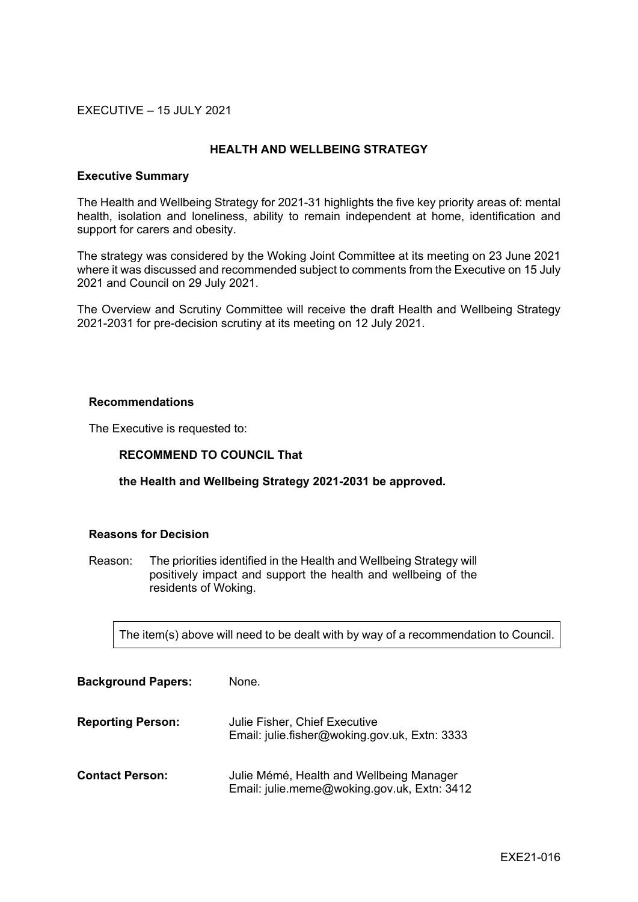## EXECUTIVE – 15 JULY 2021

### **HEALTH AND WELLBEING STRATEGY**

#### **Executive Summary**

The Health and Wellbeing Strategy for 2021-31 highlights the five key priority areas of: mental health, isolation and loneliness, ability to remain independent at home, identification and support for carers and obesity.

The strategy was considered by the Woking Joint Committee at its meeting on 23 June 2021 where it was discussed and recommended subject to comments from the Executive on 15 July 2021 and Council on 29 July 2021.

The Overview and Scrutiny Committee will receive the draft Health and Wellbeing Strategy 2021-2031 for pre-decision scrutiny at its meeting on 12 July 2021.

#### **Recommendations**

The Executive is requested to:

## **RECOMMEND TO COUNCIL That**

#### **the Health and Wellbeing Strategy 2021-2031 be approved.**

#### **Reasons for Decision**

Reason: The priorities identified in the Health and Wellbeing Strategy will positively impact and support the health and wellbeing of the residents of Woking.

The item(s) above will need to be dealt with by way of a recommendation to Council.

| <b>Background Papers:</b> | None.                                                                                   |
|---------------------------|-----------------------------------------------------------------------------------------|
| <b>Reporting Person:</b>  | Julie Fisher, Chief Executive<br>Email: julie.fisher@woking.gov.uk, Extn: 3333          |
| <b>Contact Person:</b>    | Julie Mémé, Health and Wellbeing Manager<br>Email: julie.meme@woking.gov.uk, Extn: 3412 |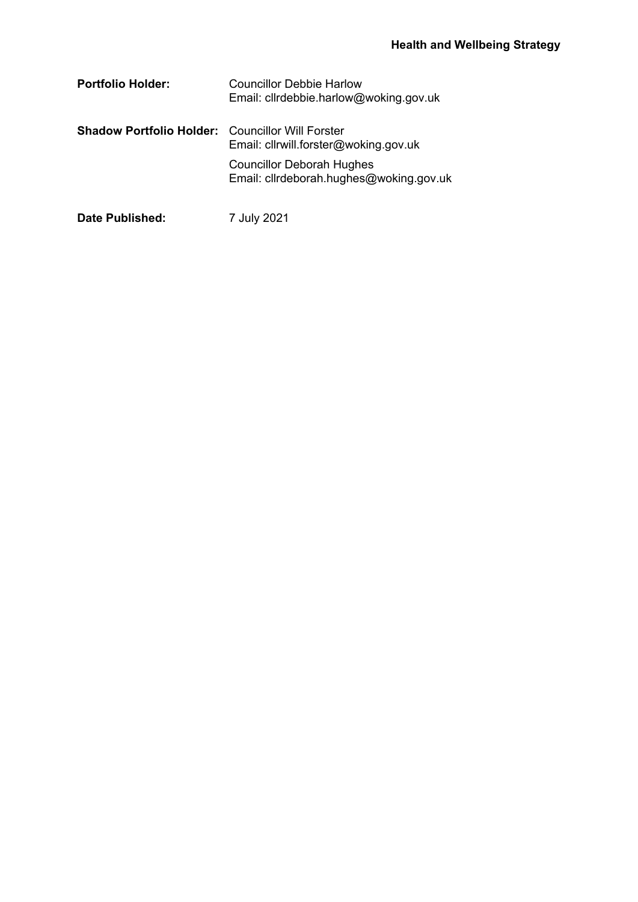| <b>Portfolio Holder:</b>                                | Councillor Debbie Harlow<br>Email: cllrdebbie.harlow@woking.gov.uk          |
|---------------------------------------------------------|-----------------------------------------------------------------------------|
| <b>Shadow Portfolio Holder:</b> Councillor Will Forster | Email: cllrwill.forster@woking.gov.uk                                       |
|                                                         | <b>Councillor Deborah Hughes</b><br>Email: cllrdeborah.hughes@woking.gov.uk |
| Date Published:                                         | 7 July 2021                                                                 |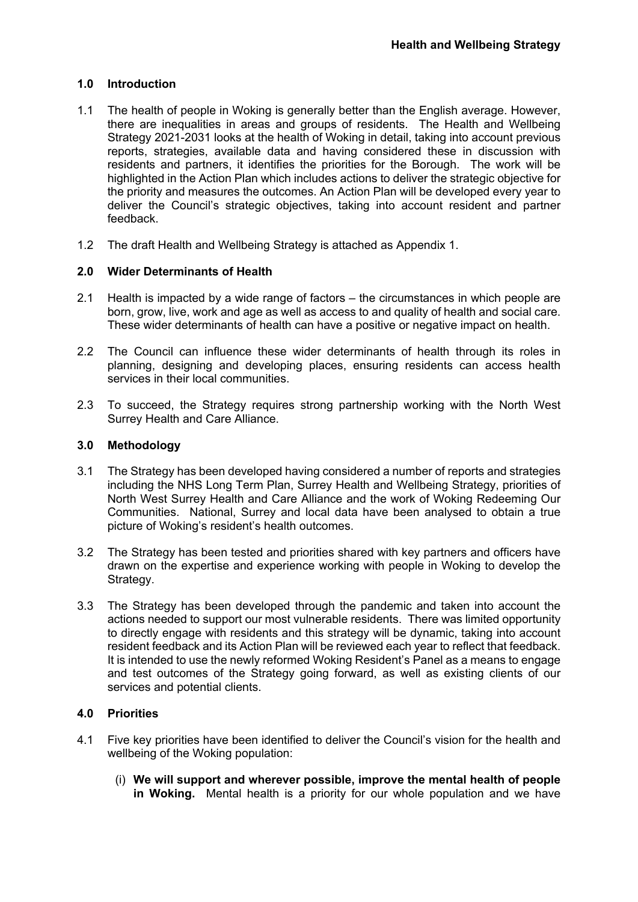# **1.0 Introduction**

- 1.1 The health of people in Woking is generally better than the English average. However, there are inequalities in areas and groups of residents. The Health and Wellbeing Strategy 2021-2031 looks at the health of Woking in detail, taking into account previous reports, strategies, available data and having considered these in discussion with residents and partners, it identifies the priorities for the Borough. The work will be highlighted in the Action Plan which includes actions to deliver the strategic objective for the priority and measures the outcomes. An Action Plan will be developed every year to deliver the Council's strategic objectives, taking into account resident and partner feedback.
- 1.2 The draft Health and Wellbeing Strategy is attached as Appendix 1.

# **2.0 Wider Determinants of Health**

- 2.1 Health is impacted by a wide range of factors the circumstances in which people are born, grow, live, work and age as well as access to and quality of health and social care. These wider determinants of health can have a positive or negative impact on health.
- 2.2 The Council can influence these wider determinants of health through its roles in planning, designing and developing places, ensuring residents can access health services in their local communities.
- 2.3 To succeed, the Strategy requires strong partnership working with the North West Surrey Health and Care Alliance.

## **3.0 Methodology**

- 3.1 The Strategy has been developed having considered a number of reports and strategies including the NHS Long Term Plan, Surrey Health and Wellbeing Strategy, priorities of North West Surrey Health and Care Alliance and the work of Woking Redeeming Our Communities. National, Surrey and local data have been analysed to obtain a true picture of Woking's resident's health outcomes.
- 3.2 The Strategy has been tested and priorities shared with key partners and officers have drawn on the expertise and experience working with people in Woking to develop the Strategy.
- 3.3 The Strategy has been developed through the pandemic and taken into account the actions needed to support our most vulnerable residents. There was limited opportunity to directly engage with residents and this strategy will be dynamic, taking into account resident feedback and its Action Plan will be reviewed each year to reflect that feedback. It is intended to use the newly reformed Woking Resident's Panel as a means to engage and test outcomes of the Strategy going forward, as well as existing clients of our services and potential clients.

## **4.0 Priorities**

- 4.1 Five key priorities have been identified to deliver the Council's vision for the health and wellbeing of the Woking population:
	- (i) **We will support and wherever possible, improve the mental health of people in Woking.** Mental health is a priority for our whole population and we have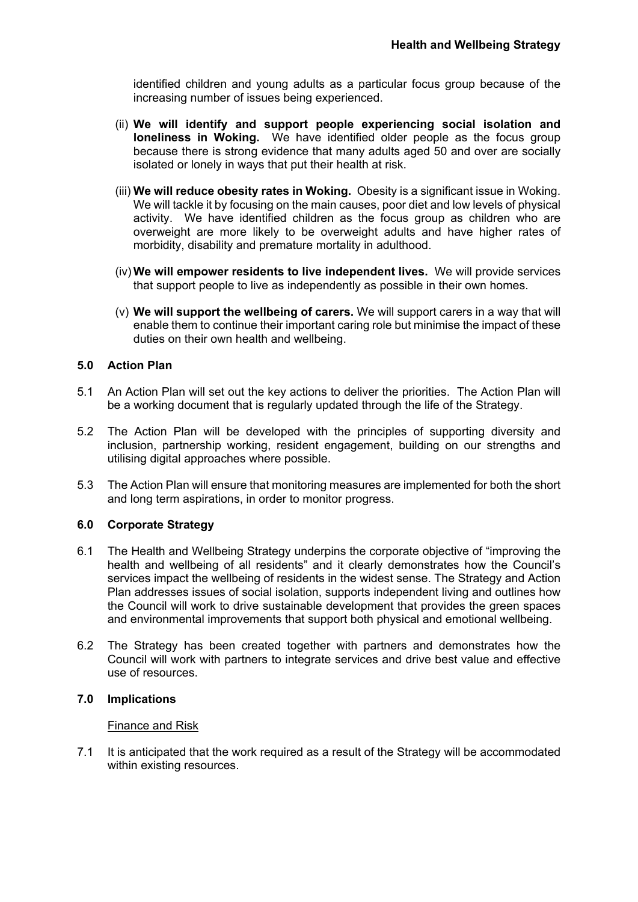identified children and young adults as a particular focus group because of the increasing number of issues being experienced.

- (ii) **We will identify and support people experiencing social isolation and loneliness in Woking.** We have identified older people as the focus group because there is strong evidence that many adults aged 50 and over are socially isolated or lonely in ways that put their health at risk.
- (iii) **We will reduce obesity rates in Woking.** Obesity is a significant issue in Woking. We will tackle it by focusing on the main causes, poor diet and low levels of physical activity. We have identified children as the focus group as children who are overweight are more likely to be overweight adults and have higher rates of morbidity, disability and premature mortality in adulthood.
- (iv) **We will empower residents to live independent lives.** We will provide services that support people to live as independently as possible in their own homes.
- (v) **We will support the wellbeing of carers.** We will support carers in a way that will enable them to continue their important caring role but minimise the impact of these duties on their own health and wellbeing.

## **5.0 Action Plan**

- 5.1 An Action Plan will set out the key actions to deliver the priorities. The Action Plan will be a working document that is regularly updated through the life of the Strategy.
- 5.2 The Action Plan will be developed with the principles of supporting diversity and inclusion, partnership working, resident engagement, building on our strengths and utilising digital approaches where possible.
- 5.3 The Action Plan will ensure that monitoring measures are implemented for both the short and long term aspirations, in order to monitor progress.

## **6.0 Corporate Strategy**

- 6.1 The Health and Wellbeing Strategy underpins the corporate objective of "improving the health and wellbeing of all residents" and it clearly demonstrates how the Council's services impact the wellbeing of residents in the widest sense. The Strategy and Action Plan addresses issues of social isolation, supports independent living and outlines how the Council will work to drive sustainable development that provides the green spaces and environmental improvements that support both physical and emotional wellbeing.
- 6.2 The Strategy has been created together with partners and demonstrates how the Council will work with partners to integrate services and drive best value and effective use of resources.

#### **7.0 Implications**

#### Finance and Risk

7.1 It is anticipated that the work required as a result of the Strategy will be accommodated within existing resources.